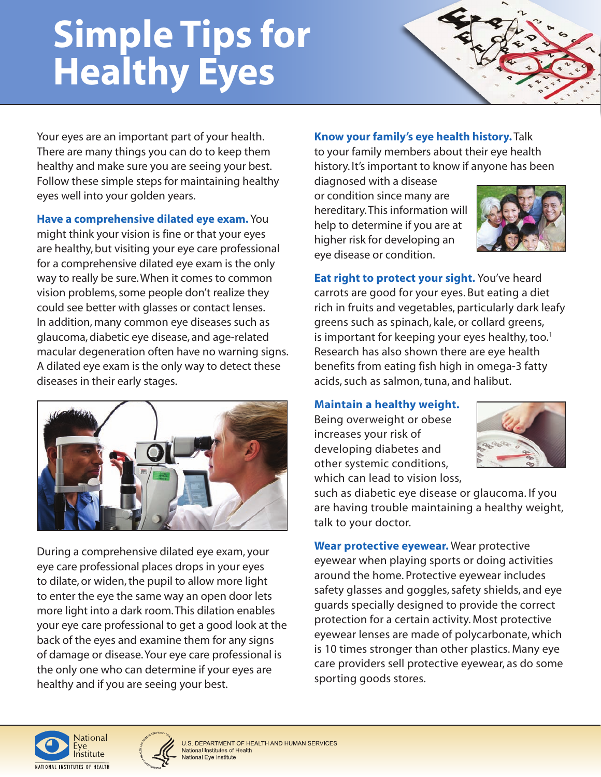# **Simple Tips for Healthy Eyes**



Your eyes are an important part of your health. There are many things you can do to keep them healthy and make sure you are seeing your best. Follow these simple steps for maintaining healthy eyes well into your golden years.

**Have a comprehensive dilated eye exam.** You might think your vision is fine or that your eyes are healthy, but visiting your eye care professional for a comprehensive dilated eye exam is the only way to really be sure. When it comes to common vision problems, some people don't realize they could see better with glasses or contact lenses. In addition, many common eye diseases such as glaucoma, diabetic eye disease, and age-related macular degeneration often have no warning signs. A dilated eye exam is the only way to detect these diseases in their early stages.



During a comprehensive dilated eye exam, your eye care professional places drops in your eyes to dilate, or widen, the pupil to allow more light to enter the eye the same way an open door lets more light into a dark room. This dilation enables your eye care professional to get a good look at the back of the eyes and examine them for any signs of damage or disease. Your eye care professional is the only one who can determine if your eyes are healthy and if you are seeing your best.

**Know your family's eye health history.** Talk to your family members about their eye health history. It's important to know if anyone has been

diagnosed with a disease or condition since many are hereditary. This information will help to determine if you are at higher risk for developing an eye disease or condition.



**Eat right to protect your sight.** You've heard carrots are good for your eyes. But eating a diet rich in fruits and vegetables, particularly dark leafy greens such as spinach, kale, or collard greens, is important for keeping your eyes healthy, too.<sup>1</sup> Research has also shown there are eye health benefits from eating fish high in omega-3 fatty acids, such as salmon, tuna, and halibut.

## **Maintain a healthy weight.**

Being overweight or obese increases your risk of developing diabetes and other systemic conditions, which can lead to vision loss,



such as diabetic eye disease or glaucoma. If you are having trouble maintaining a healthy weight, talk to your doctor.

**Wear protective eyewear.** Wear protective eyewear when playing sports or doing activities around the home. Protective eyewear includes safety glasses and goggles, safety shields, and eye guards specially designed to provide the correct protection for a certain activity. Most protective eyewear lenses are made of polycarbonate, which is 10 times stronger than other plastics. Many eye care providers sell protective eyewear, as do some sporting goods stores.